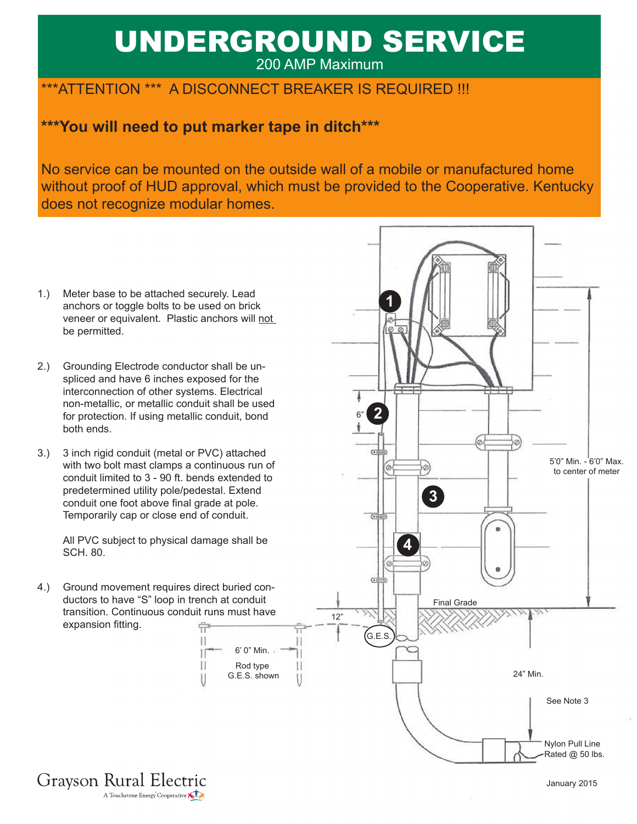# UNDERGROUND SERVICE 200 AMP Maximum

## \*\*\*ATTENTION \*\*\* A DISCONNECT BREAKER IS REQUIRED !!!

## **\*\*\*You will need to put marker tape in ditch\*\*\***

No service can be mounted on the outside wall of a mobile or manufactured home without proof of HUD approval, which must be provided to the Cooperative. Kentucky does not recognize modular homes.

- Meter base to be attached securely. Lead anchors or toggle bolts to be used on brick veneer or equivalent. Plastic anchors will not be permitted. 1.)
- 2.) Grounding Electrode conductor shall be unspliced and have 6 inches exposed for the interconnection of other systems. Electrical non-metallic, or metallic conduit shall be used for protection. If using metallic conduit, bond both ends.
- 3 inch rigid conduit (metal or PVC) attached with two bolt mast clamps a continuous run of conduit limited to 3 - 90 ft. bends extended to predetermined utility pole/pedestal. Extend conduit one foot above final grade at pole. Temporarily cap or close end of conduit. 3.)

All PVC subject to physical damage shall be SCH. 80.

4.) Ground movement requires direct buried conductors to have "S" loop in trench at conduit transition. Continuous conduit runs must have expansion fitting. 류

> $\frac{1}{2}$ П